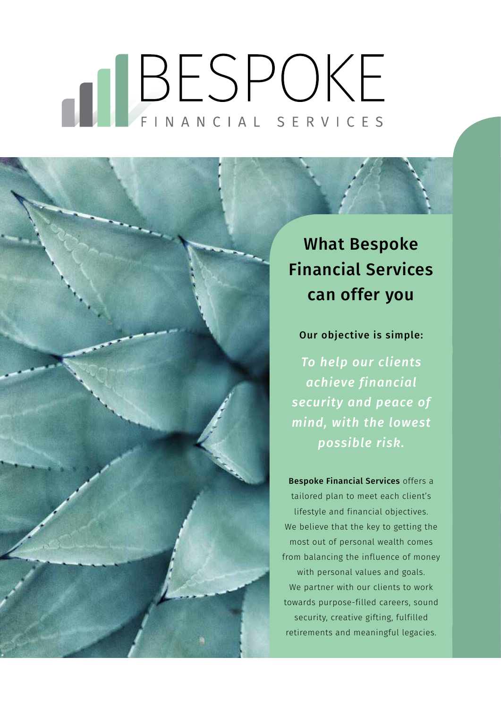# BESPOKE

What Bespoke Financial Services can offer you

#### Our objective is simple:

*To help our clients achieve financial security and peace of mind, with the lowest possible risk.* 

Bespoke Financial Services offers a tailored plan to meet each client's lifestyle and financial objectives. We believe that the key to getting the most out of personal wealth comes from balancing the influence of money with personal values and goals. We partner with our clients to work towards purpose-filled careers, sound security, creative gifting, fulfilled retirements and meaningful legacies.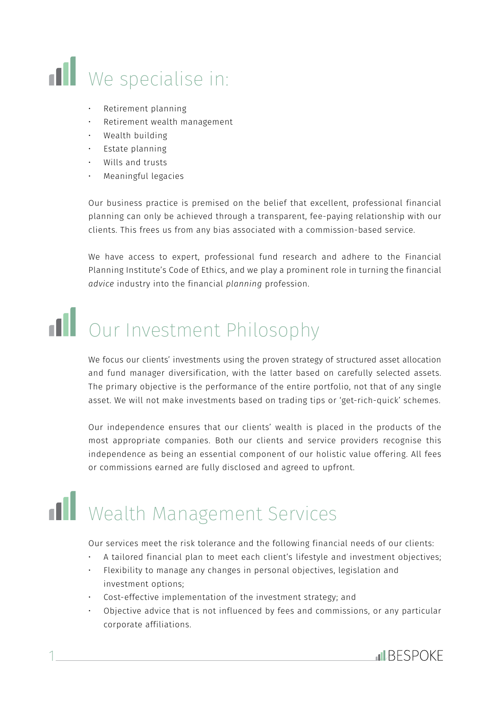

- Retirement planning
- Retirement wealth management
- Wealth building
- Estate planning
- Wills and trusts
- Meaningful legacies

Our business practice is premised on the belief that excellent, professional financial planning can only be achieved through a transparent, fee-paying relationship with our clients. This frees us from any bias associated with a commission-based service.

We have access to expert, professional fund research and adhere to the Financial Planning Institute's Code of Ethics, and we play a prominent role in turning the financial *advice* industry into the financial *planning* profession.

# **Ill** Our Investment Philosophy

We focus our clients' investments using the proven strategy of structured asset allocation and fund manager diversification, with the latter based on carefully selected assets. The primary objective is the performance of the entire portfolio, not that of any single asset. We will not make investments based on trading tips or 'get-rich-quick' schemes.

Our independence ensures that our clients' wealth is placed in the products of the most appropriate companies. Both our clients and service providers recognise this independence as being an essential component of our holistic value offering. All fees or commissions earned are fully disclosed and agreed to upfront.

# Wealth Management Services

1

Our services meet the risk tolerance and the following financial needs of our clients:

- A tailored financial plan to meet each client's lifestyle and investment objectives;
- Flexibility to manage any changes in personal objectives, legislation and investment options;
- Cost-effective implementation of the investment strategy; and
- Objective advice that is not influenced by fees and commissions, or any particular corporate affiliations.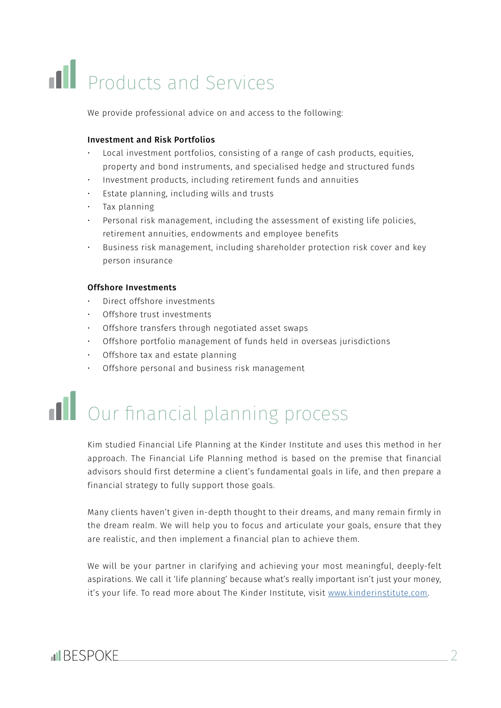# **II** Products and Services

We provide professional advice on and access to the following:

#### Investment and Risk Portfolios

- Local investment portfolios, consisting of a range of cash products, equities, property and bond instruments, and specialised hedge and structured funds
- Investment products, including retirement funds and annuities
- Estate planning, including wills and trusts
- Tax planning
- Personal risk management, including the assessment of existing life policies, retirement annuities, endowments and employee benefits
- Business risk management, including shareholder protection risk cover and key person insurance

#### Offshore Investments

- Direct offshore investments
- Offshore trust investments
- Offshore transfers through negotiated asset swaps
- Offshore portfolio management of funds held in overseas jurisdictions
- Offshore tax and estate planning
- Offshore personal and business risk management

### **Il** Our financial planning process

Kim studied Financial Life Planning at the Kinder Institute and uses this method in her approach. The Financial Life Planning method is based on the premise that financial advisors should first determine a client's fundamental goals in life, and then prepare a financial strategy to fully support those goals.

Many clients haven't given in-depth thought to their dreams, and many remain firmly in the dream realm. We will help you to focus and articulate your goals, ensure that they are realistic, and then implement a financial plan to achieve them.

We will be your partner in clarifying and achieving your most meaningful, deeply-felt aspirations. We call it 'life planning' because what's really important isn't just your money, it's your life. To read more about The Kinder Institute, visit www.kinderinstitute.com.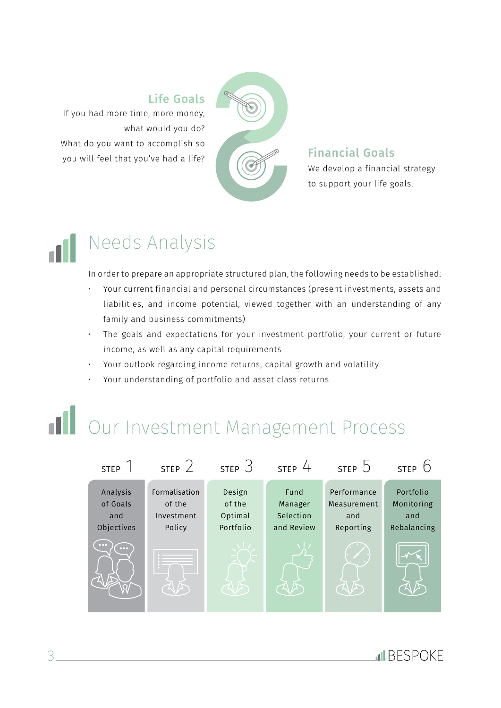#### Life Goals

If you had more time, more money, what would you do? What do you want to accomplish so you will feel that you've had a life?



#### We develop a financial strategy Financial Goals

to support your life goals.

### Needs Analysis

In order to prepare an appropriate structured plan, the following needs to be established:

- Your current financial and personal circumstances (present investments, assets and liabilities, and income potential, viewed together with an understanding of any family and business commitments)
- The goals and expectations for your investment portfolio, your current or future income, as well as any capital requirements
- Your outlook regarding income returns, capital growth and volatility
- Your understanding of portfolio and asset class returns

### Our Investment Management Process

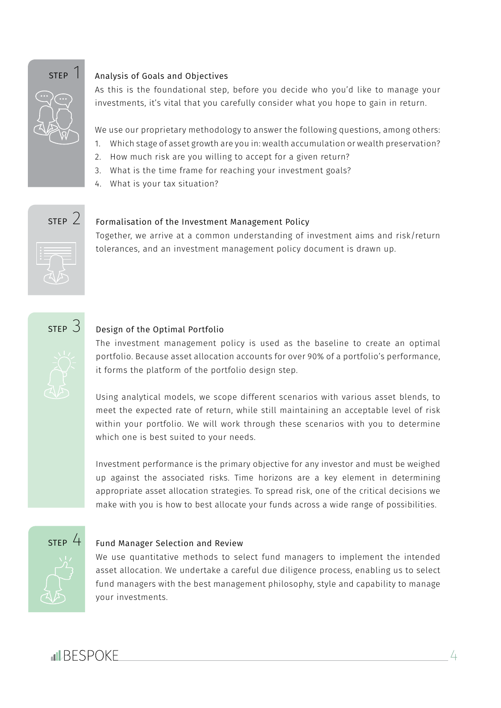

#### Analysis of Goals and Objectives

As this is the foundational step, before you decide who you'd like to manage your investments, it's vital that you carefully consider what you hope to gain in return.

We use our proprietary methodology to answer the following questions, among others:

- 1. Which stage of asset growth are you in: wealth accumulation or wealth preservation?
- 2. How much risk are you willing to accept for a given return?
- 3. What is the time frame for reaching your investment goals?
- 4. What is your tax situation?



#### Formalisation of the Investment Management Policy

Together, we arrive at a common understanding of investment aims and risk/return tolerances, and an investment management policy document is drawn up.



#### Design of the Optimal Portfolio

The investment management policy is used as the baseline to create an optimal portfolio. Because asset allocation accounts for over 90% of a portfolio's performance, it forms the platform of the portfolio design step.

Using analytical models, we scope different scenarios with various asset blends, to meet the expected rate of return, while still maintaining an acceptable level of risk within your portfolio. We will work through these scenarios with you to determine which one is best suited to your needs.

Investment performance is the primary objective for any investor and must be weighed up against the associated risks. Time horizons are a key element in determining appropriate asset allocation strategies. To spread risk, one of the critical decisions we make with you is how to best allocate your funds across a wide range of possibilities.



#### Fund Manager Selection and Review

We use quantitative methods to select fund managers to implement the intended asset allocation. We undertake a careful due diligence process, enabling us to select fund managers with the best management philosophy, style and capability to manage your investments.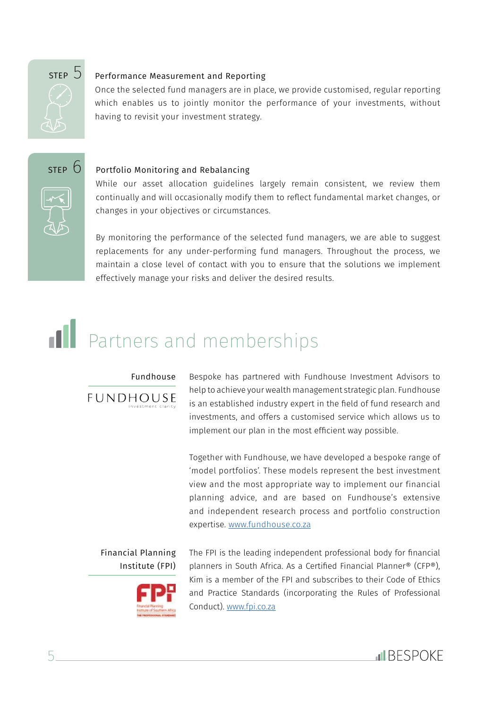

#### Performance Measurement and Reporting

Once the selected fund managers are in place, we provide customised, regular reporting which enables us to jointly monitor the performance of your investments, without having to revisit your investment strategy.





While our asset allocation guidelines largely remain consistent, we review them continually and will occasionally modify them to reflect fundamental market changes, or

changes in your objectives or circumstances. By monitoring the performance of the selected fund managers, we are able to suggest

replacements for any under-performing fund managers. Throughout the process, we maintain a close level of contact with you to ensure that the solutions we implement effectively manage your risks and deliver the desired results.

### **Partners and memberships**

#### Fundhouse



Bespoke has partnered with Fundhouse Investment Advisors to help to achieve your wealth management strategic plan. Fundhouse is an established industry expert in the field of fund research and investments, and offers a customised service which allows us to implement our plan in the most efficient way possible.

Together with Fundhouse, we have developed a bespoke range of 'model portfolios'. These models represent the best investment view and the most appropriate way to implement our financial planning advice, and are based on Fundhouse's extensive and independent research process and portfolio construction expertise. www.fundhouse.co.za

Financial Planning Institute (FPI)



The FPI is the leading independent professional body for financial planners in South Africa. As a Certified Financial Planner® (CFP®), Kim is a member of the FPI and subscribes to their Code of Ethics and Practice Standards (incorporating the Rules of Professional Conduct). www.fpi.co.za

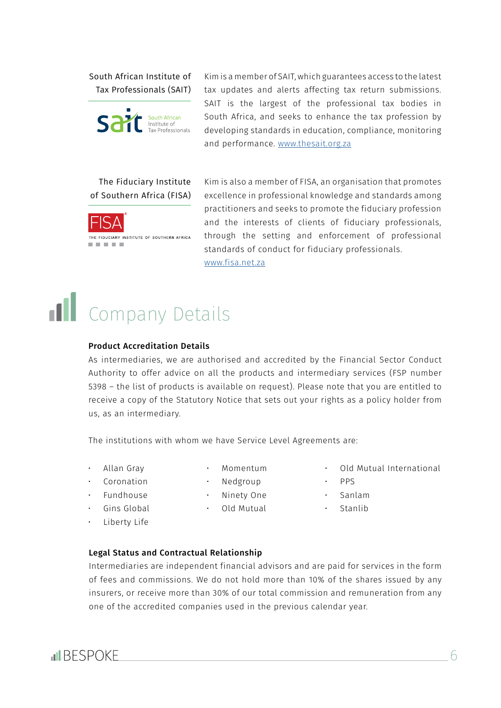South African Institute of Tax Professionals (SAIT)



Kim is a member of SAIT, which guarantees access to the latest tax updates and alerts affecting tax return submissions. SAIT is the largest of the professional tax bodies in South Africa, and seeks to enhance the tax profession by developing standards in education, compliance, monitoring and performance. www.thesait.org.za

#### The Fiduciary Institute of Southern Africa (FISA)



Kim is also a member of FISA, an organisation that promotes excellence in professional knowledge and standards among practitioners and seeks to promote the fiduciary profession and the interests of clients of fiduciary professionals, through the setting and enforcement of professional standards of conduct for fiduciary professionals. www.fisa.net.za

## **nd** Company Details

#### Product Accreditation Details

As intermediaries, we are authorised and accredited by the Financial Sector Conduct Authority to offer advice on all the products and intermediary services (FSP number 5398 – the list of products is available on request). Please note that you are entitled to receive a copy of the Statutory Notice that sets out your rights as a policy holder from us, as an intermediary.

The institutions with whom we have Service Level Agreements are:

- Allan Gray
- Momentum
- **Coronation** • Fundhouse
- Nedgroup • Ninety One
- Gins Global
- Old Mutual
- Liberty Life
- 
- Old Mutual International
- PPS
- Sanlam
- Stanlib
- Legal Status and Contractual Relationship

Intermediaries are independent financial advisors and are paid for services in the form of fees and commissions. We do not hold more than 10% of the shares issued by any insurers, or receive more than 30% of our total commission and remuneration from any one of the accredited companies used in the previous calendar year.